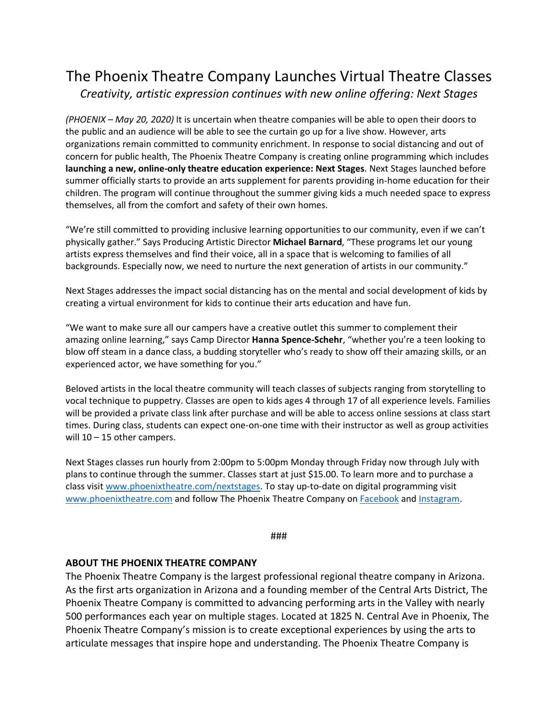## The Phoenix Theatre Company Launches Virtual Theatre Classes *Creativity, artistic expression continues with new online offering: Next Stages*

*(PHOENIX – May 20, 2020)* It is uncertain when theatre companies will be able to open their doors to the public and an audience will be able to see the curtain go up for a live show. However, arts organizations remain committed to community enrichment. In response to social distancing and out of concern for public health, The Phoenix Theatre Company is creating online programming which includes **launching a new, online-only theatre education experience: Next Stages**. Next Stages launched before summer officially starts to provide an arts supplement for parents providing in-home education for their children. The program will continue throughout the summer giving kids a much needed space to express themselves, all from the comfort and safety of their own homes.

"We're still committed to providing inclusive learning opportunities to our community, even if we can't physically gather." Says Producing Artistic Director **Michael Barnard**, "These programs let our young artists express themselves and find their voice, all in a space that is welcoming to families of all backgrounds. Especially now, we need to nurture the next generation of artists in our community."

Next Stages addresses the impact social distancing has on the mental and social development of kids by creating a virtual environment for kids to continue their arts education and have fun.

"We want to make sure all our campers have a creative outlet this summer to complement their amazing online learning," says Camp Director **Hanna Spence-Schehr**, "whether you're a teen looking to blow off steam in a dance class, a budding storyteller who's ready to show off their amazing skills, or an experienced actor, we have something for you."

Beloved artists in the local theatre community will teach classes of subjects ranging from storytelling to vocal technique to puppetry. Classes are open to kids ages 4 through 17 of all experience levels. Families will be provided a private class link after purchase and will be able to access online sessions at class start times. During class, students can expect one-on-one time with their instructor as well as group activities will 10 – 15 other campers.

Next Stages classes run hourly from 2:00pm to 5:00pm Monday through Friday now through July with plans to continue through the summer. Classes start at just \$15.00. To learn more and to purchase a class visit [www.phoenixtheatre.com/nextstages.](http://www.phoenixtheatre.com/nextstages) To stay up-to-date on digital programming visit [www.phoenixtheatre.com](http://www.phoenixtheatre.com/) and follow The Phoenix Theatre Company on [Facebook](https://www.facebook.com/PhoenixTheatre/) and [Instagram.](https://www.instagram.com/phxtheatre/)

## ###

## **ABOUT THE PHOENIX THEATRE COMPANY**

The Phoenix Theatre Company is the largest professional regional theatre company in Arizona. As the first arts organization in Arizona and a founding member of the Central Arts District, The Phoenix Theatre Company is committed to advancing performing arts in the Valley with nearly 500 performances each year on multiple stages. Located at 1825 N. Central Ave in Phoenix, The Phoenix Theatre Company's mission is to create exceptional experiences by using the arts to articulate messages that inspire hope and understanding. The Phoenix Theatre Company is